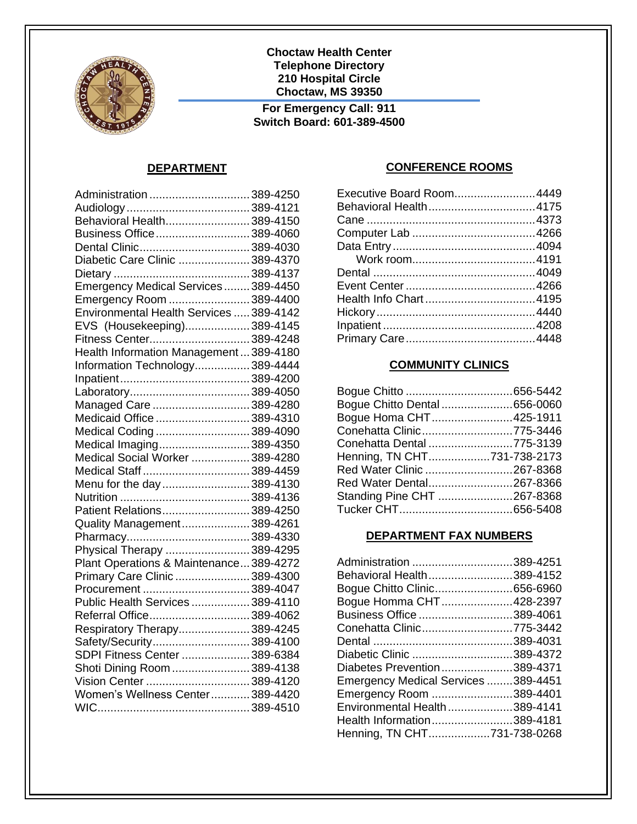

**Choctaw Health Center Telephone Directory 210 Hospital Circle Choctaw, MS 39350**

**For Emergency Call: 911 Switch Board: 601-389-4500**

#### **DEPARTMENT**

| Administration  389-4250                |  |
|-----------------------------------------|--|
|                                         |  |
| Behavioral Health389-4150               |  |
| Business Office389-4060                 |  |
| Dental Clinic389-4030                   |  |
| Diabetic Care Clinic 389-4370           |  |
|                                         |  |
| Emergency Medical Services 389-4450     |  |
| Emergency Room 389-4400                 |  |
| Environmental Health Services  389-4142 |  |
| EVS (Housekeeping)389-4145              |  |
| Fitness Center389-4248                  |  |
| Health Information Management389-4180   |  |
| Information Technology389-4444          |  |
|                                         |  |
|                                         |  |
| Managed Care 389-4280                   |  |
| Medicaid Office 389-4310                |  |
| Medical Coding389-4090                  |  |
| Medical Imaging389-4350                 |  |
| Medical Social Worker  389-4280         |  |
| Medical Staff 389-4459                  |  |
| Menu for the day389-4130                |  |
|                                         |  |
| Patient Relations389-4250               |  |
| Quality Management389-4261              |  |
|                                         |  |
| Physical Therapy 389-4295               |  |
| Plant Operations & Maintenance389-4272  |  |
| Primary Care Clinic 389-4300            |  |
| Procurement 389-4047                    |  |
| Public Health Services  389-4110        |  |
| Referral Office389-4062                 |  |
| Respiratory Therapy389-4245             |  |
| Safety/Security389-4100                 |  |
| SDPI Fitness Center  389-6384           |  |
| Shoti Dining Room 389-4138              |  |
| Vision Center 389-4120                  |  |
| Women's Wellness Center389-4420         |  |
|                                         |  |

#### **CONFERENCE ROOMS**

| Executive Board Room4449 |
|--------------------------|
| Behavioral Health4175    |
|                          |
|                          |
|                          |
|                          |
|                          |
|                          |
|                          |
|                          |
|                          |
|                          |
|                          |

#### **COMMUNITY CLINICS**

| Bogue Chitto Dental 656-0060 |  |
|------------------------------|--|
| Bogue Homa CHT425-1911       |  |
| Conehatta Clinic775-3446     |  |
| Conehatta Dental 775-3139    |  |
| Henning, TN CHT731-738-2173  |  |
| Red Water Clinic 267-8368    |  |
| Red Water Dental267-8366     |  |
| Standing Pine CHT 267-8368   |  |
|                              |  |

#### **DEPARTMENT FAX NUMBERS**

| Administration 389-4251             |  |
|-------------------------------------|--|
| Behavioral Health389-4152           |  |
| Bogue Chitto Clinic656-6960         |  |
| Bogue Homma CHT428-2397             |  |
| Business Office 389-4061            |  |
| Conehatta Clinic775-3442            |  |
|                                     |  |
| Diabetic Clinic 389-4372            |  |
| Diabetes Prevention389-4371         |  |
| Emergency Medical Services 389-4451 |  |
| Emergency Room 389-4401             |  |
| Environmental Health389-4141        |  |
| Health Information389-4181          |  |
| Henning, TN CHT731-738-0268         |  |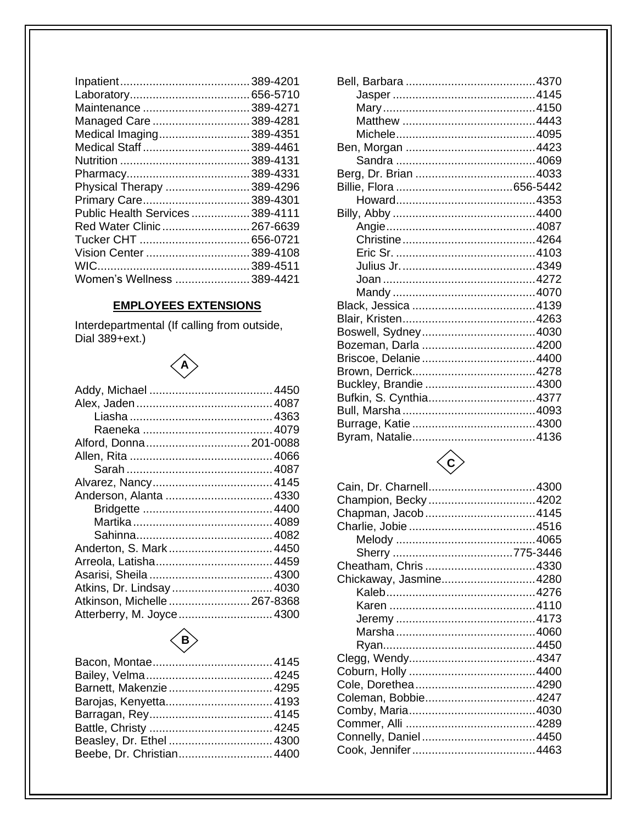| Maintenance 389-4271            |
|---------------------------------|
| Managed Care 389-4281           |
| Medical Imaging389-4351         |
| Medical Staff  389-4461         |
|                                 |
|                                 |
| Physical Therapy 389-4296       |
| Primary Care389-4301            |
| Public Health Services 389-4111 |
| Red Water Clinic  267-6639      |
|                                 |
| Vision Center 389-4108          |
|                                 |
| Women's Wellness 389-4421       |
|                                 |

#### **EMPLOYEES EXTENSIONS**

Interdepartmental (If calling from outside,<br>Dial 389+ext.)

## $\begin{pmatrix} 1 \\ 1 \\ 2 \end{pmatrix}$

| Anderson, Alanta  4330      |  |
|-----------------------------|--|
|                             |  |
|                             |  |
|                             |  |
|                             |  |
|                             |  |
|                             |  |
| Atkins, Dr. Lindsay  4030   |  |
| Atkinson, Michelle 267-8368 |  |
| Atterberry, M. Joyce 4300   |  |
|                             |  |

### $\left\langle \mathbf{B} \right\rangle$

| Barnett, Makenzie  4295   |  |
|---------------------------|--|
|                           |  |
|                           |  |
|                           |  |
| Beasley, Dr. Ethel  4300  |  |
| Beebe, Dr. Christian 4400 |  |
|                           |  |

| Bufkin, S. Cynthia4377 |  |
|------------------------|--|
|                        |  |
|                        |  |
|                        |  |
|                        |  |



| Champion, Becky 4202   |  |
|------------------------|--|
| Chapman, Jacob4145     |  |
|                        |  |
|                        |  |
|                        |  |
| Cheatham, Chris 4330   |  |
| Chickaway, Jasmine4280 |  |
|                        |  |
|                        |  |
|                        |  |
|                        |  |
|                        |  |
|                        |  |
|                        |  |
|                        |  |
| Coleman, Bobbie4247    |  |
|                        |  |
|                        |  |
|                        |  |
|                        |  |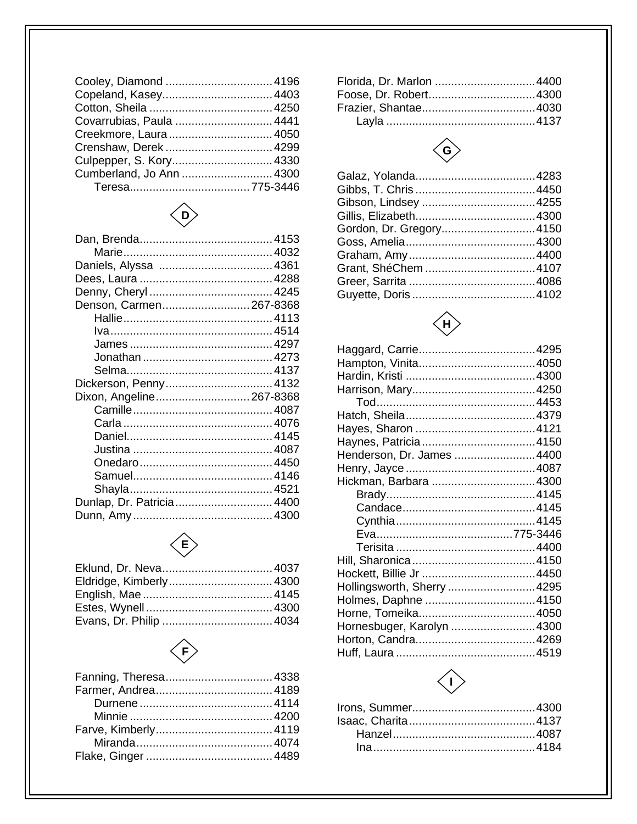| Covarrubias, Paula  4441 |
|--------------------------|
|                          |
|                          |
|                          |
| Cumberland, Jo Ann  4300 |
|                          |
|                          |

# $\left\langle \begin{matrix} 1 \\ 0 \end{matrix} \right\rangle$

| Denson, Carmen267-8368    |  |
|---------------------------|--|
|                           |  |
|                           |  |
|                           |  |
|                           |  |
|                           |  |
| Dickerson, Penny 4132     |  |
| Dixon, Angeline267-8368   |  |
|                           |  |
|                           |  |
|                           |  |
|                           |  |
|                           |  |
|                           |  |
|                           |  |
| Dunlap, Dr. Patricia 4400 |  |
|                           |  |



| $\left\langle \mathbf{E} \right\rangle$ |  |
|-----------------------------------------|--|
|                                         |  |
|                                         |  |
|                                         |  |
|                                         |  |
|                                         |  |
|                                         |  |



### $\left\langle \begin{matrix} 6 \end{matrix} \right\rangle$

| Gordon, Dr. Gregory4150 |  |
|-------------------------|--|
|                         |  |
|                         |  |
| Grant, ShéChem 4107     |  |
|                         |  |
|                         |  |
|                         |  |



| Henderson, Dr. James 4400  |  |
|----------------------------|--|
|                            |  |
| Hickman, Barbara 4300      |  |
|                            |  |
|                            |  |
|                            |  |
|                            |  |
|                            |  |
|                            |  |
|                            |  |
| Hollingsworth, Sherry 4295 |  |
|                            |  |
|                            |  |
| Hornesbuger, Karolyn 4300  |  |
|                            |  |
|                            |  |

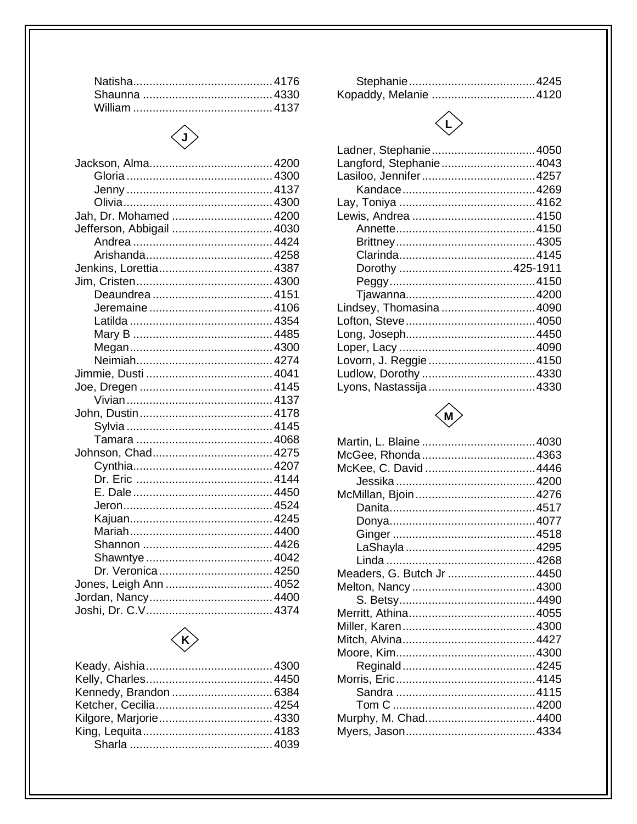### $\diamondsuit$

| Jah, Dr. Mohamed  4200    |  |
|---------------------------|--|
| Jefferson, Abbigail  4030 |  |
|                           |  |
|                           |  |
|                           |  |
|                           |  |
|                           |  |
|                           |  |
|                           |  |
|                           |  |
|                           |  |
|                           |  |
|                           |  |
|                           |  |
|                           |  |
|                           |  |
|                           |  |
|                           |  |
|                           |  |
|                           |  |
|                           |  |
|                           |  |
|                           |  |
|                           |  |
|                           |  |
|                           |  |
|                           |  |
| Dr. Veronica  4250        |  |
| Jones, Leigh Ann  4052    |  |
|                           |  |
|                           |  |
|                           |  |

### $\left\langle \!\!\!{\,}^{\mathop{}\limits_{}}_{\mathop{}\limits^{}}\right. \!\!\!\right\rangle$

### $\begin{picture}(220,20) \put(0,0){\line(1,0){10}} \put(15,0){\line(1,0){10}} \put(15,0){\line(1,0){10}} \put(15,0){\line(1,0){10}} \put(15,0){\line(1,0){10}} \put(15,0){\line(1,0){10}} \put(15,0){\line(1,0){10}} \put(15,0){\line(1,0){10}} \put(15,0){\line(1,0){10}} \put(15,0){\line(1,0){10}} \put(15,0){\line(1,0){10}} \put(15,0){\line($

| Ladner, Stephanie4050   |  |
|-------------------------|--|
| Langford, Stephanie4043 |  |
| Lasiloo, Jennifer4257   |  |
|                         |  |
|                         |  |
|                         |  |
|                         |  |
|                         |  |
|                         |  |
|                         |  |
|                         |  |
|                         |  |
| Lindsey, Thomasina 4090 |  |
|                         |  |
|                         |  |
|                         |  |
| Lovorn, J. Reggie 4150  |  |
|                         |  |
| Lyons, Nastassija 4330  |  |
|                         |  |



| McGee, Rhonda 4363        |  |
|---------------------------|--|
| McKee, C. David 4446      |  |
|                           |  |
|                           |  |
|                           |  |
|                           |  |
|                           |  |
|                           |  |
|                           |  |
| Meaders, G. Butch Jr 4450 |  |
|                           |  |
|                           |  |
|                           |  |
|                           |  |
|                           |  |
|                           |  |
|                           |  |
|                           |  |
|                           |  |
|                           |  |
| Murphy, M. Chad4400       |  |
|                           |  |
|                           |  |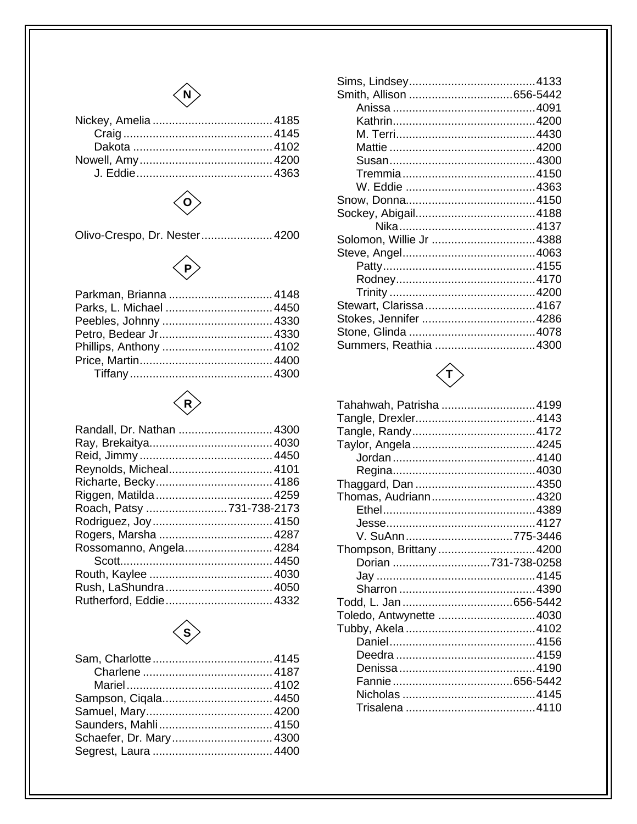



Olivo-Crespo, Dr. Nester...................... 4200





| Randall, Dr. Nathan  4300 |  |
|---------------------------|--|
|                           |  |
|                           |  |
| Reynolds, Micheal 4101    |  |
|                           |  |
|                           |  |
| Roach, Patsy 731-738-2173 |  |
|                           |  |
|                           |  |
| Rossomanno, Angela 4284   |  |
|                           |  |
|                           |  |
| Rush, LaShundra  4050     |  |
|                           |  |



| Schaefer, Dr. Mary 4300 |
|-------------------------|
|                         |
|                         |

| Solomon, Willie Jr 4388 |  |
|-------------------------|--|
|                         |  |
|                         |  |
|                         |  |
|                         |  |
|                         |  |
|                         |  |
|                         |  |
| Summers. Reathia 4300   |  |



| Tahahwah, Patrisha 4199 |  |
|-------------------------|--|
|                         |  |
|                         |  |
|                         |  |
|                         |  |
|                         |  |
|                         |  |
| Thomas, Audriann4320    |  |
|                         |  |
|                         |  |
| V. SuAnn775-3446        |  |
| Thompson, Brittany4200  |  |
| Dorian 731-738-0258     |  |
|                         |  |
|                         |  |
|                         |  |
| Toledo, Antwynette 4030 |  |
|                         |  |
|                         |  |
|                         |  |
|                         |  |
|                         |  |
|                         |  |
|                         |  |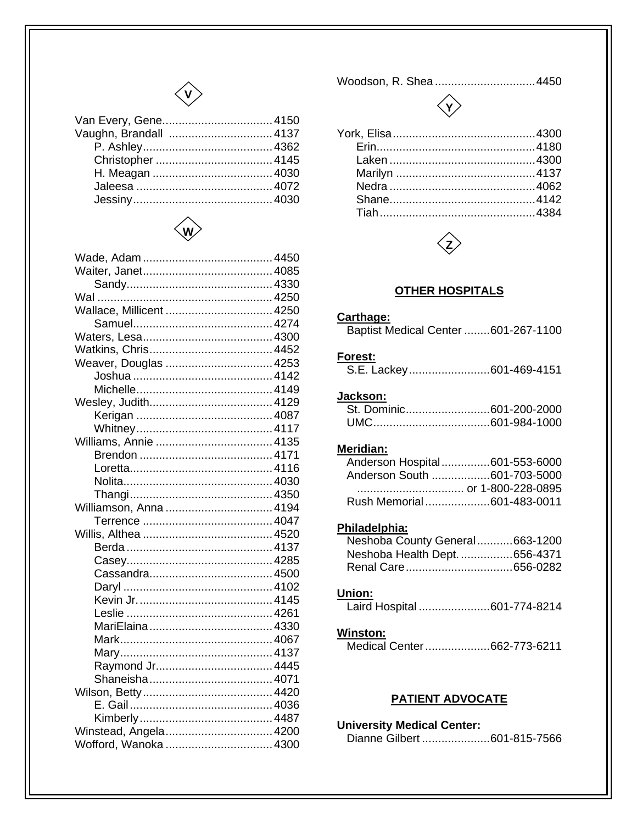



| Wallace, Millicent  4250 |  |
|--------------------------|--|
|                          |  |
|                          |  |
|                          |  |
| Weaver, Douglas  4253    |  |
|                          |  |
|                          |  |
|                          |  |
|                          |  |
|                          |  |
|                          |  |
|                          |  |
|                          |  |
|                          |  |
|                          |  |
| Williamson, Anna  4194   |  |
|                          |  |
|                          |  |
|                          |  |
|                          |  |
|                          |  |
|                          |  |
|                          |  |
|                          |  |
|                          |  |
|                          |  |
|                          |  |
|                          |  |
|                          |  |
|                          |  |
|                          |  |
|                          |  |
| Winstead, Angela 4200    |  |
| Wofford, Wanoka  4300    |  |

Woodson, R. Shea ...............................4450





#### **OTHER HOSPITALS**

#### Carthage:

| Baptist Medical Center 601-267-1100 |
|-------------------------------------|
|-------------------------------------|

#### Forest:

| S.E. Lackey601-469-4151 |  |
|-------------------------|--|
|-------------------------|--|

#### Jackson:

| St. Dominic601-200-2000 |  |
|-------------------------|--|
|                         |  |

#### Meridian:

| Anderson Hospital601-553-6000 |
|-------------------------------|
| Anderson South 601-703-5000   |
|                               |
| Rush Memorial601-483-0011     |
|                               |

#### Philadelphia:

| Neshoba County General663-1200 |  |
|--------------------------------|--|
| Neshoba Health Dept. 656-4371  |  |
|                                |  |

#### Union:

Laird Hospital ......................601-774-8214

#### **Winston:**

Medical Center ....................662-773-6211

#### **PATIENT ADVOCATE**

| <b>University Medical Center:</b> |  |
|-----------------------------------|--|
| Dianne Gilbert 601-815-7566       |  |